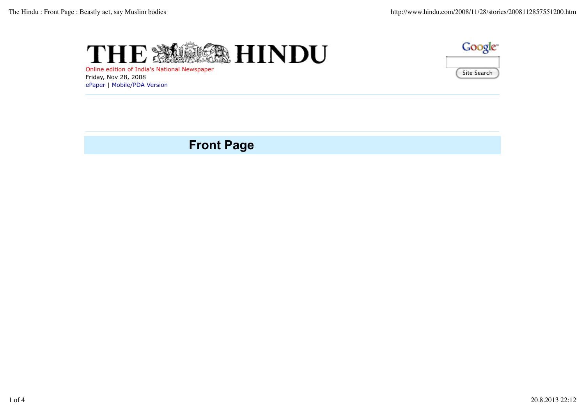



Online edition of India's National Newspaper Friday, Nov 28, 2008 ePaper | Mobile/PDA Version

## **Front Page**